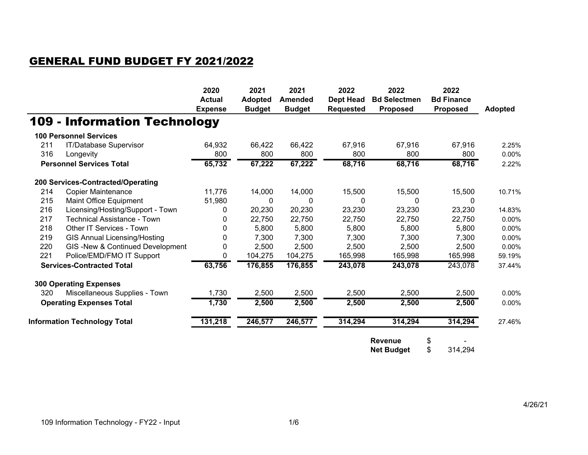#### GENERAL FUND BUDGET FY 2021/2022

|     |                                     | 2020<br><b>Actual</b><br><b>Expense</b> | 2021<br><b>Adopted</b><br><b>Budget</b> | 2021<br><b>Amended</b><br><b>Budget</b> | 2022<br><b>Dept Head</b><br><b>Requested</b> | 2022<br><b>Bd Selectmen</b><br><b>Proposed</b> | 2022<br><b>Bd Finance</b><br><b>Proposed</b> | <b>Adopted</b> |
|-----|-------------------------------------|-----------------------------------------|-----------------------------------------|-----------------------------------------|----------------------------------------------|------------------------------------------------|----------------------------------------------|----------------|
|     | <b>109 - Information Technology</b> |                                         |                                         |                                         |                                              |                                                |                                              |                |
|     | <b>100 Personnel Services</b>       |                                         |                                         |                                         |                                              |                                                |                                              |                |
| 211 | IT/Database Supervisor              | 64,932                                  | 66,422                                  | 66,422                                  | 67,916                                       | 67,916                                         | 67,916                                       | 2.25%          |
| 316 | Longevity                           | 800                                     | 800                                     | 800                                     | 800                                          | 800                                            | 800                                          | 0.00%          |
|     | <b>Personnel Services Total</b>     | 65,732                                  | 67,222                                  | 67,222                                  | 68,716                                       | 68,716                                         | 68,716                                       | 2.22%          |
|     | 200 Services-Contracted/Operating   |                                         |                                         |                                         |                                              |                                                |                                              |                |
| 214 | <b>Copier Maintenance</b>           | 11,776                                  | 14,000                                  | 14,000                                  | 15,500                                       | 15,500                                         | 15,500                                       | 10.71%         |
| 215 | Maint Office Equipment              | 51,980                                  | 0                                       | $\Omega$                                | $\Omega$                                     | $\Omega$                                       | 0                                            |                |
| 216 | Licensing/Hosting/Support - Town    | 0                                       | 20,230                                  | 20,230                                  | 23,230                                       | 23,230                                         | 23,230                                       | 14.83%         |
| 217 | <b>Technical Assistance - Town</b>  | 0                                       | 22,750                                  | 22,750                                  | 22,750                                       | 22,750                                         | 22,750                                       | 0.00%          |
| 218 | Other IT Services - Town            | 0                                       | 5,800                                   | 5,800                                   | 5,800                                        | 5,800                                          | 5,800                                        | $0.00\%$       |
| 219 | <b>GIS Annual Licensing/Hosting</b> | 0                                       | 7,300                                   | 7,300                                   | 7,300                                        | 7,300                                          | 7,300                                        | 0.00%          |
| 220 | GIS-New & Continued Development     | 0                                       | 2,500                                   | 2,500                                   | 2,500                                        | 2,500                                          | 2,500                                        | $0.00\%$       |
| 221 | Police/EMD/FMO IT Support           | 0                                       | 104,275                                 | 104,275                                 | 165,998                                      | 165,998                                        | 165,998                                      | 59.19%         |
|     | <b>Services-Contracted Total</b>    | 63,756                                  | 176,855                                 | 176,855                                 | 243,078                                      | 243,078                                        | 243,078                                      | 37.44%         |
|     | <b>300 Operating Expenses</b>       |                                         |                                         |                                         |                                              |                                                |                                              |                |
| 320 | Miscellaneous Supplies - Town       | 1,730                                   | 2,500                                   | 2,500                                   | 2,500                                        | 2,500                                          | 2,500                                        | 0.00%          |
|     | <b>Operating Expenses Total</b>     | 1,730                                   | 2,500                                   | 2,500                                   | 2,500                                        | 2,500                                          | 2,500                                        | 0.00%          |
|     | <b>Information Technology Total</b> | 131,218                                 | 246,577                                 | 246,577                                 | 314,294                                      | 314,294                                        | 314,294                                      | 27.46%         |
|     |                                     |                                         |                                         |                                         |                                              | <b>Revenue</b>                                 | \$                                           |                |

**Net Budget** \$ 314,294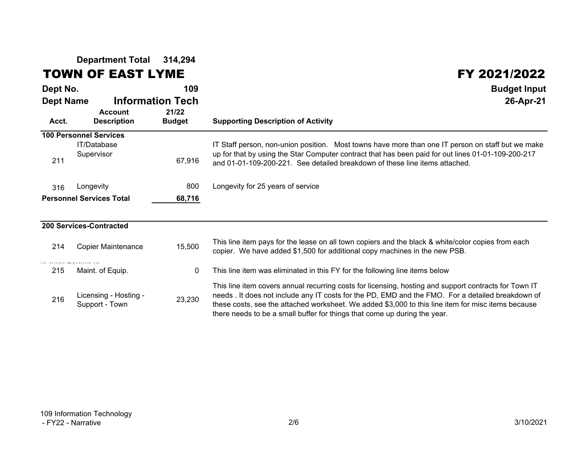**Department Total 314,294**

#### TOWN OF EAST LYME FY 2021/2022

| Dept No.                  |                                         | 109                                               | <b>Budget Input</b>                                                                                                                                                                                                                                                                                                                                                                          |
|---------------------------|-----------------------------------------|---------------------------------------------------|----------------------------------------------------------------------------------------------------------------------------------------------------------------------------------------------------------------------------------------------------------------------------------------------------------------------------------------------------------------------------------------------|
| <b>Dept Name</b><br>Acct. | <b>Account</b><br><b>Description</b>    | <b>Information Tech</b><br>21/22<br><b>Budget</b> | 26-Apr-21<br><b>Supporting Description of Activity</b>                                                                                                                                                                                                                                                                                                                                       |
|                           | <b>100 Personnel Services</b>           |                                                   |                                                                                                                                                                                                                                                                                                                                                                                              |
| 211                       | IT/Database<br>Supervisor               | 67,916                                            | IT Staff person, non-union position. Most towns have more than one IT person on staff but we make<br>up for that by using the Star Computer contract that has been paid for out lines 01-01-109-200-217<br>and 01-01-109-200-221. See detailed breakdown of these line items attached.                                                                                                       |
| 316                       | Longevity                               | 800                                               | Longevity for 25 years of service                                                                                                                                                                                                                                                                                                                                                            |
|                           | <b>Personnel Services Total</b>         | 68,716                                            |                                                                                                                                                                                                                                                                                                                                                                                              |
|                           |                                         |                                                   |                                                                                                                                                                                                                                                                                                                                                                                              |
|                           | <b>200 Services-Contracted</b>          |                                                   |                                                                                                                                                                                                                                                                                                                                                                                              |
| 214                       | <b>Copier Maintenance</b>               | 15,500                                            | This line item pays for the lease on all town copiers and the black & white/color copies from each<br>copier. We have added \$1,500 for additional copy machines in the new PSB.                                                                                                                                                                                                             |
| 215                       | Maint. of Equip.                        | $\mathbf 0$                                       | This line item was eliminated in this FY for the following line items below                                                                                                                                                                                                                                                                                                                  |
| 216                       | Licensing - Hosting -<br>Support - Town | 23,230                                            | This line item covers annual recurring costs for licensing, hosting and support contracts for Town IT<br>needs. It does not include any IT costs for the PD, EMD and the FMO. For a detailed breakdown of<br>these costs, see the attached worksheet. We added \$3,000 to this line item for misc items because<br>there needs to be a small buffer for things that come up during the year. |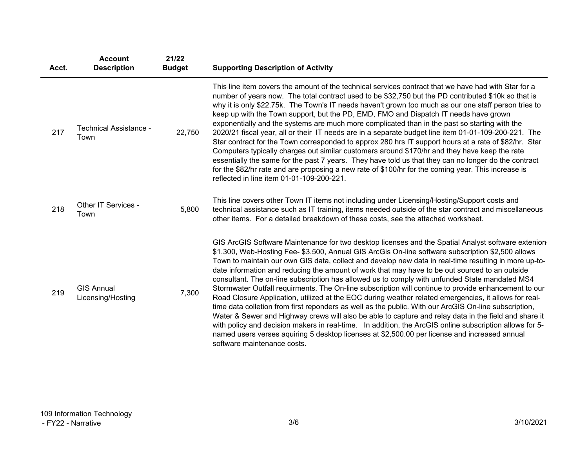| Acct. | <b>Account</b><br><b>Description</b>   | 21/22<br><b>Budget</b> | <b>Supporting Description of Activity</b>                                                                                                                                                                                                                                                                                                                                                                                                                                                                                                                                                                                                                                                                                                                                                                                                                                                                                                                                                                                                                                                                                                                                                          |
|-------|----------------------------------------|------------------------|----------------------------------------------------------------------------------------------------------------------------------------------------------------------------------------------------------------------------------------------------------------------------------------------------------------------------------------------------------------------------------------------------------------------------------------------------------------------------------------------------------------------------------------------------------------------------------------------------------------------------------------------------------------------------------------------------------------------------------------------------------------------------------------------------------------------------------------------------------------------------------------------------------------------------------------------------------------------------------------------------------------------------------------------------------------------------------------------------------------------------------------------------------------------------------------------------|
| 217   | Technical Assistance -<br>Town         | 22,750                 | This line item covers the amount of the technical services contract that we have had with Star for a<br>number of years now. The total contract used to be \$32,750 but the PD contributed \$10k so that is<br>why it is only \$22.75k. The Town's IT needs haven't grown too much as our one staff person tries to<br>keep up with the Town support, but the PD, EMD, FMO and Dispatch IT needs have grown<br>exponentially and the systems are much more complicated than in the past so starting with the<br>2020/21 fiscal year, all or their IT needs are in a separate budget line item 01-01-109-200-221. The<br>Star contract for the Town corresponded to approx 280 hrs IT support hours at a rate of \$82/hr. Star<br>Computers typically charges out similar customers around \$170/hr and they have keep the rate<br>essentially the same for the past 7 years. They have told us that they can no longer do the contract<br>for the \$82/hr rate and are proposing a new rate of \$100/hr for the coming year. This increase is<br>reflected in line item 01-01-109-200-221.                                                                                                         |
| 218   | Other IT Services -<br>Town            | 5,800                  | This line covers other Town IT items not including under Licensing/Hosting/Support costs and<br>technical assistance such as IT training, items needed outside of the star contract and miscellaneous<br>other items. For a detailed breakdown of these costs, see the attached worksheet.                                                                                                                                                                                                                                                                                                                                                                                                                                                                                                                                                                                                                                                                                                                                                                                                                                                                                                         |
| 219   | <b>GIS Annual</b><br>Licensing/Hosting | 7,300                  | GIS ArcGIS Software Maintenance for two desktop licenses and the Spatial Analyst software extenion<br>\$1,300, Web-Hosting Fee- \$3,500, Annual GIS ArcGis On-line software subscription \$2,500 allows<br>Town to maintain our own GIS data, collect and develop new data in real-time resulting in more up-to-<br>date information and reducing the amount of work that may have to be out sourced to an outside<br>consultant. The on-line subscription has allowed us to comply with unfunded State mandated MS4<br>Stormwater Outfall requirments. The On-line subscription will continue to provide enhancement to our<br>Road Closure Application, utilized at the EOC during weather related emergencies, it allows for real-<br>time data colletion from first reponders as well as the public. With our ArcGIS On-line subscription,<br>Water & Sewer and Highway crews will also be able to capture and relay data in the field and share it<br>with policy and decision makers in real-time. In addition, the ArcGIS online subscription allows for 5-<br>named users verses aquiring 5 desktop licenses at \$2,500.00 per license and increased annual<br>software maintenance costs. |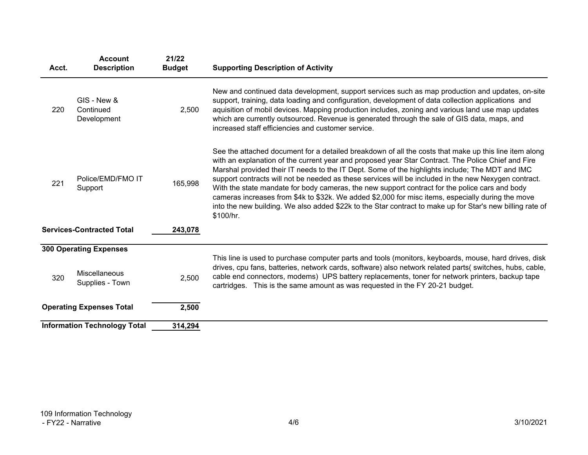| Acct. | <b>Account</b><br><b>Description</b>    | 21/22<br><b>Budget</b> | <b>Supporting Description of Activity</b>                                                                                                                                                                                                                                                                                                                                                                                                                                                                                                                                                                                                                                                                                                               |
|-------|-----------------------------------------|------------------------|---------------------------------------------------------------------------------------------------------------------------------------------------------------------------------------------------------------------------------------------------------------------------------------------------------------------------------------------------------------------------------------------------------------------------------------------------------------------------------------------------------------------------------------------------------------------------------------------------------------------------------------------------------------------------------------------------------------------------------------------------------|
| 220   | GIS - New &<br>Continued<br>Development | 2,500                  | New and continued data development, support services such as map production and updates, on-site<br>support, training, data loading and configuration, development of data collection applications and<br>aquisition of mobil devices. Mapping production includes, zoning and various land use map updates<br>which are currently outsourced. Revenue is generated through the sale of GIS data, maps, and<br>increased staff efficiencies and customer service.                                                                                                                                                                                                                                                                                       |
| 221   | Police/EMD/FMO IT<br>Support            | 165,998                | See the attached document for a detailed breakdown of all the costs that make up this line item along<br>with an explanation of the current year and proposed year Star Contract. The Police Chief and Fire<br>Marshal provided their IT needs to the IT Dept. Some of the highlights include; The MDT and IMC<br>support contracts will not be needed as these services will be included in the new Nexygen contract.<br>With the state mandate for body cameras, the new support contract for the police cars and body<br>cameras increases from \$4k to \$32k. We added \$2,000 for misc items, especially during the move<br>into the new building. We also added \$22k to the Star contract to make up for Star's new billing rate of<br>\$100/hr. |
|       | <b>Services-Contracted Total</b>        | 243,078                |                                                                                                                                                                                                                                                                                                                                                                                                                                                                                                                                                                                                                                                                                                                                                         |
|       | <b>300 Operating Expenses</b>           |                        |                                                                                                                                                                                                                                                                                                                                                                                                                                                                                                                                                                                                                                                                                                                                                         |
| 320   | <b>Miscellaneous</b><br>Supplies - Town | 2,500                  | This line is used to purchase computer parts and tools (monitors, keyboards, mouse, hard drives, disk<br>drives, cpu fans, batteries, network cards, software) also network related parts( switches, hubs, cable,<br>cable end connectors, modems) UPS battery replacements, toner for network printers, backup tape<br>cartridges. This is the same amount as was requested in the FY 20-21 budget.                                                                                                                                                                                                                                                                                                                                                    |
|       | <b>Operating Expenses Total</b>         | 2,500                  |                                                                                                                                                                                                                                                                                                                                                                                                                                                                                                                                                                                                                                                                                                                                                         |
|       | <b>Information Technology Total</b>     | 314,294                |                                                                                                                                                                                                                                                                                                                                                                                                                                                                                                                                                                                                                                                                                                                                                         |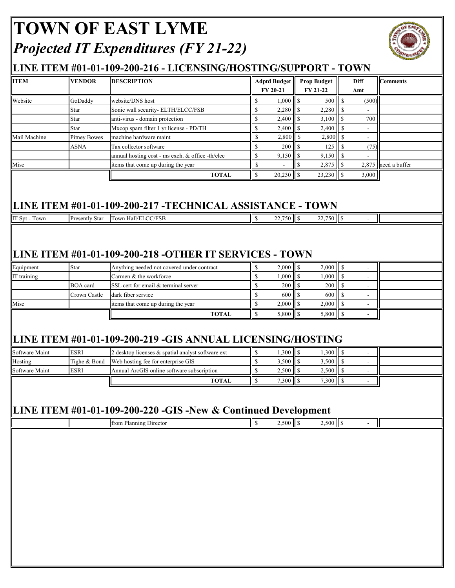# **TOWN OF EAST LYME** *Projected IT Expenditures (FY 21-22)*



### **LINE ITEM #01-01-109-200-216 - LICENSING/HOSTING/SUPPORT - TOWN**

| Website<br>Star<br>Mail Machine<br>Misc | GoDaddy<br>Star             |                                                                                                                                                       |                              | <b>Adptd Budget</b>       |                         | <b>Prop Budget</b><br>FY 21-22 |                    | <b>Diff</b>                      | <b>Comments</b> |
|-----------------------------------------|-----------------------------|-------------------------------------------------------------------------------------------------------------------------------------------------------|------------------------------|---------------------------|-------------------------|--------------------------------|--------------------|----------------------------------|-----------------|
|                                         |                             | website/DNS host                                                                                                                                      | <sup>\$</sup>                | FY 20-21                  |                         | 500                            | $\mathbf{s}$       | Amt                              |                 |
|                                         |                             | Sonic wall security- ELTH/ELCC/FSB                                                                                                                    | $\$$                         | 2,280                     | $\mathsf{I}$            | 2,280                          | l s                | (500)                            |                 |
|                                         |                             | anti-virus - domain protection                                                                                                                        | $\$$                         | 2,400                     | $\overline{\mathbf{s}}$ | 3,100                          | l s                | 700                              |                 |
|                                         | Star                        | Mxcop spam filter 1 yr license - PD/TH                                                                                                                | $\mathbb{S}$                 | 2,400                     | $\overline{\mathbf{s}}$ | 2,400                          | l s                | $\mathbf{r}$                     |                 |
|                                         | <b>Pitney Bowes</b>         | machine hardware maint                                                                                                                                | <sup>\$</sup>                | $2,800$ \$                |                         | 2,800 \$                       |                    |                                  |                 |
|                                         | ASNA                        | Tax collector software                                                                                                                                | \$                           | 200                       | <sup>S</sup>            | 125                            | l s                | (75)                             |                 |
|                                         |                             | annual hosting cost - ms exch. & office -th/elcc                                                                                                      | $\mathbb{S}$                 |                           |                         | $9,150$ \$                     |                    |                                  |                 |
|                                         |                             | items that come up during the year                                                                                                                    | $\mathcal{S}$                |                           | $\mathbf S$             | $2,875$ \$                     |                    | 2,875                            | need a buffer   |
|                                         |                             | <b>TOTAL</b>                                                                                                                                          | $\mathbb{S}$                 | $20,230$ \$               |                         |                                |                    | 3,000                            |                 |
|                                         |                             | LINE ITEM #01-01-109-200-217 -TECHNICAL ASSISTANCE - TOWN                                                                                             |                              |                           |                         |                                |                    |                                  |                 |
| IT Spt - Town                           | Presently Star              | Town Hall/ELCC/FSB                                                                                                                                    | $\sqrt{ }$                   |                           |                         | 22,750 \$                      |                    | $\sim$                           |                 |
| Equipment                               | Star                        | LINE ITEM #01-01-109-200-218 -OTHER IT SERVICES - TOWN<br>Anything needed not covered under contract                                                  | \$                           |                           |                         | $2,000$ \$                     |                    | $\blacksquare$                   |                 |
| IT training                             |                             | Carmen & the workforce                                                                                                                                | $\mathbb{S}$                 | 1,000                     | <sup>\$</sup>           | 1,000                          | -S                 | $\blacksquare$                   |                 |
|                                         | <b>BOA</b> card             | SSL cert for email & terminal server                                                                                                                  | $\mathbb S$                  | 200                       | $\mathcal{S}$           | 200                            | $\mathbf S$        | $\overline{\phantom{a}}$         |                 |
|                                         | Crown Castle                | dark fiber service                                                                                                                                    | $\mathbb{S}$                 | 600                       | $\mathcal{S}$           | 600                            | <sup>\$</sup>      | $\blacksquare$                   |                 |
| Misc                                    |                             | items that come up during the year                                                                                                                    | $\mathbb S$                  | 2,000                     | $\sqrt{S}$              | 2,000                          | $\mathbf{\hat{s}}$ | $\overline{a}$                   |                 |
|                                         |                             | <b>TOTAL</b>                                                                                                                                          | $\mathbb{S}$                 | $5,800$   $\overline{\$}$ |                         | $5,800$ \$                     |                    |                                  |                 |
| Software Maint<br>Hosting               | <b>ESRI</b><br>Tighe & Bond | LINE ITEM #01-01-109-200-219 -GIS ANNUAL LICENSING/HOSTING<br>2 desktop licenses & spatial analyst software ext<br>Web hosting fee for enterprise GIS | <sup>\$</sup><br>$\mathbb S$ | 3,500                     | $\mathbf{s}$            | $1,300$ \$<br>3,500            | l s                | $\blacksquare$<br>$\blacksquare$ |                 |
| Software Maint                          | <b>ESRI</b>                 | Annual ArcGIS online software subscription<br><b>TOTAL</b>                                                                                            | $\mathbb S$<br>$\mathbb{S}$  | $2,500$ \$                |                         | 2,500<br>7,300 \$              | $\mathsf{I}$ s     | $\blacksquare$                   |                 |
|                                         |                             |                                                                                                                                                       |                              |                           |                         |                                |                    | $\blacksquare$                   |                 |
|                                         |                             | LINE ITEM #01-01-109-200-220 -GIS -New & Continued Development                                                                                        |                              |                           |                         |                                |                    |                                  |                 |